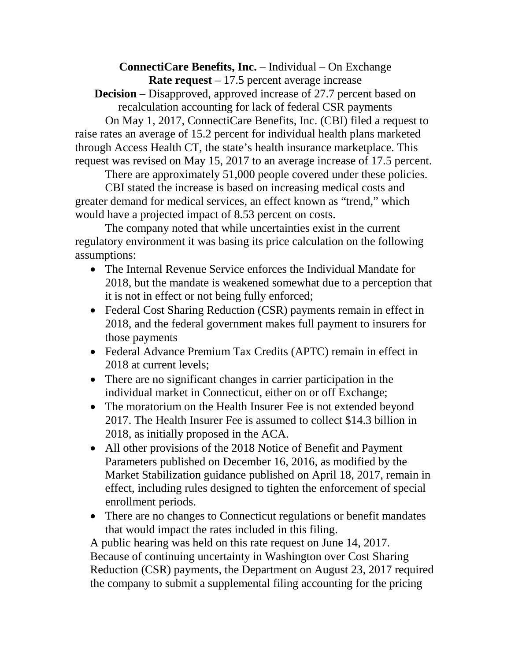**ConnectiCare Benefits, Inc.** – Individual – On Exchange **Rate request** – 17.5 percent average increase

**Decision** – Disapproved, approved increase of 27.7 percent based on recalculation accounting for lack of federal CSR payments

On May 1, 2017, ConnectiCare Benefits, Inc. (CBI) filed a request to raise rates an average of 15.2 percent for individual health plans marketed through Access Health CT, the state's health insurance marketplace. This request was revised on May 15, 2017 to an average increase of 17.5 percent.

There are approximately 51,000 people covered under these policies.

CBI stated the increase is based on increasing medical costs and greater demand for medical services, an effect known as "trend," which would have a projected impact of 8.53 percent on costs.

The company noted that while uncertainties exist in the current regulatory environment it was basing its price calculation on the following assumptions:

- The Internal Revenue Service enforces the Individual Mandate for 2018, but the mandate is weakened somewhat due to a perception that it is not in effect or not being fully enforced;
- Federal Cost Sharing Reduction (CSR) payments remain in effect in 2018, and the federal government makes full payment to insurers for those payments
- Federal Advance Premium Tax Credits (APTC) remain in effect in 2018 at current levels;
- There are no significant changes in carrier participation in the individual market in Connecticut, either on or off Exchange;
- The moratorium on the Health Insurer Fee is not extended beyond 2017. The Health Insurer Fee is assumed to collect \$14.3 billion in 2018, as initially proposed in the ACA.
- All other provisions of the 2018 Notice of Benefit and Payment Parameters published on December 16, 2016, as modified by the Market Stabilization guidance published on April 18, 2017, remain in effect, including rules designed to tighten the enforcement of special enrollment periods.
- There are no changes to Connecticut regulations or benefit mandates that would impact the rates included in this filing.

A public hearing was held on this rate request on June 14, 2017. Because of continuing uncertainty in Washington over Cost Sharing Reduction (CSR) payments, the Department on August 23, 2017 required the company to submit a supplemental filing accounting for the pricing